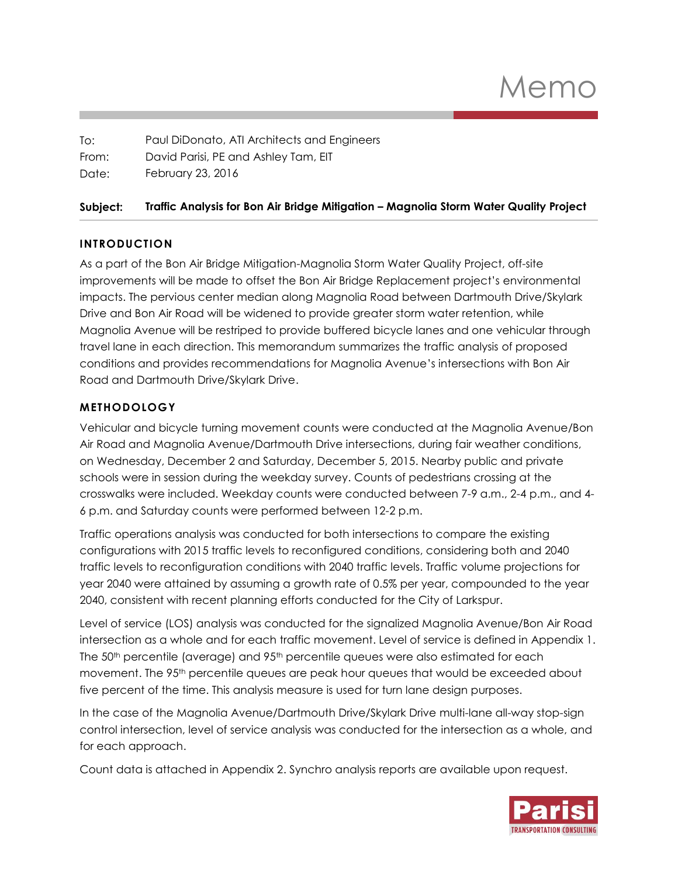| To:   | Paul DiDonato, ATI Architects and Engineers |
|-------|---------------------------------------------|
| From: | David Parisi, PE and Ashley Tam, EIT        |
| Date: | February 23, 2016                           |

### **Subject: Traffic Analysis for Bon Air Bridge Mitigation – Magnolia Storm Water Quality Project**

### **INTRODUCTION**

As a part of the Bon Air Bridge Mitigation-Magnolia Storm Water Quality Project, off-site improvements will be made to offset the Bon Air Bridge Replacement project's environmental impacts. The pervious center median along Magnolia Road between Dartmouth Drive/Skylark Drive and Bon Air Road will be widened to provide greater storm water retention, while Magnolia Avenue will be restriped to provide buffered bicycle lanes and one vehicular through travel lane in each direction. This memorandum summarizes the traffic analysis of proposed conditions and provides recommendations for Magnolia Avenue's intersections with Bon Air Road and Dartmouth Drive/Skylark Drive.

## **METHODOLOGY**

Vehicular and bicycle turning movement counts were conducted at the Magnolia Avenue/Bon Air Road and Magnolia Avenue/Dartmouth Drive intersections, during fair weather conditions, on Wednesday, December 2 and Saturday, December 5, 2015. Nearby public and private schools were in session during the weekday survey. Counts of pedestrians crossing at the crosswalks were included. Weekday counts were conducted between 7-9 a.m., 2-4 p.m., and 4- 6 p.m. and Saturday counts were performed between 12-2 p.m.

Traffic operations analysis was conducted for both intersections to compare the existing configurations with 2015 traffic levels to reconfigured conditions, considering both and 2040 traffic levels to reconfiguration conditions with 2040 traffic levels. Traffic volume projections for year 2040 were attained by assuming a growth rate of 0.5% per year, compounded to the year 2040, consistent with recent planning efforts conducted for the City of Larkspur.

Level of service (LOS) analysis was conducted for the signalized Magnolia Avenue/Bon Air Road intersection as a whole and for each traffic movement. Level of service is defined in Appendix 1. The  $50<sup>th</sup>$  percentile (average) and  $95<sup>th</sup>$  percentile queues were also estimated for each movement. The 95<sup>th</sup> percentile queues are peak hour queues that would be exceeded about five percent of the time. This analysis measure is used for turn lane design purposes.

In the case of the Magnolia Avenue/Dartmouth Drive/Skylark Drive multi-lane all-way stop-sign control intersection, level of service analysis was conducted for the intersection as a whole, and for each approach.

Count data is attached in Appendix 2. Synchro analysis reports are available upon request.

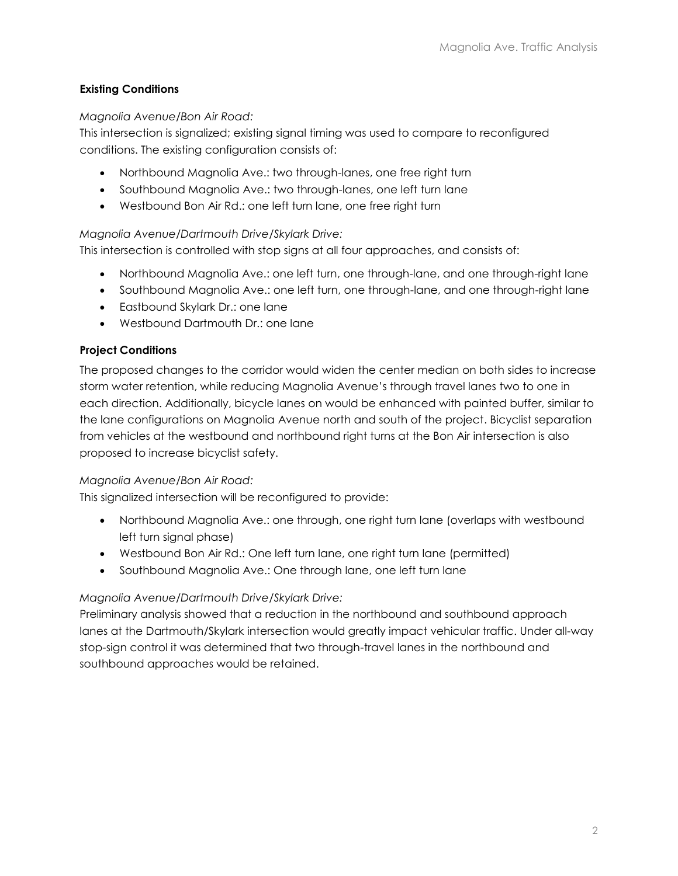## **Existing Conditions**

### *Magnolia Avenue/Bon Air Road:*

This intersection is signalized; existing signal timing was used to compare to reconfigured conditions. The existing configuration consists of:

- Northbound Magnolia Ave.: two through-lanes, one free right turn
- Southbound Magnolia Ave.: two through-lanes, one left turn lane
- Westbound Bon Air Rd.: one left turn lane, one free right turn

## *Magnolia Avenue/Dartmouth Drive/Skylark Drive:*

This intersection is controlled with stop signs at all four approaches, and consists of:

- Northbound Magnolia Ave.: one left turn, one through-lane, and one through-right lane
- Southbound Magnolia Ave.: one left turn, one through-lane, and one through-right lane
- **Eastbound Skylark Dr.: one lane**
- Westbound Dartmouth Dr.: one lane

### **Project Conditions**

The proposed changes to the corridor would widen the center median on both sides to increase storm water retention, while reducing Magnolia Avenue's through travel lanes two to one in each direction. Additionally, bicycle lanes on would be enhanced with painted buffer, similar to the lane configurations on Magnolia Avenue north and south of the project. Bicyclist separation from vehicles at the westbound and northbound right turns at the Bon Air intersection is also proposed to increase bicyclist safety.

### *Magnolia Avenue/Bon Air Road:*

This signalized intersection will be reconfigured to provide:

- Northbound Magnolia Ave.: one through, one right turn lane (overlaps with westbound left turn signal phase)
- Westbound Bon Air Rd.: One left turn lane, one right turn lane (permitted)
- Southbound Magnolia Ave.: One through lane, one left turn lane

### *Magnolia Avenue/Dartmouth Drive/Skylark Drive:*

Preliminary analysis showed that a reduction in the northbound and southbound approach lanes at the Dartmouth/Skylark intersection would greatly impact vehicular traffic. Under all-way stop-sign control it was determined that two through-travel lanes in the northbound and southbound approaches would be retained.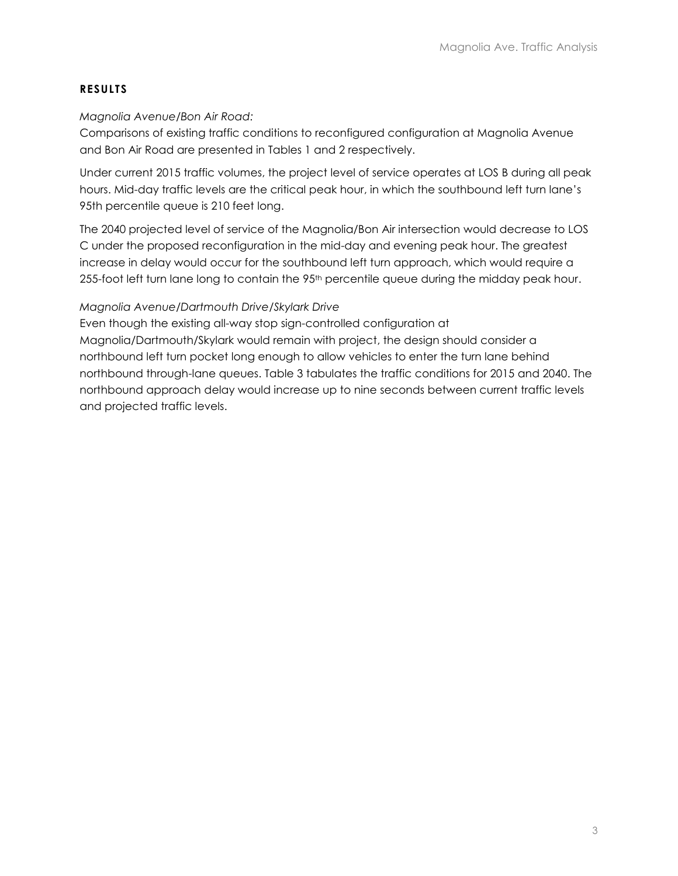### **RESULTS**

#### *Magnolia Avenue/Bon Air Road:*

Comparisons of existing traffic conditions to reconfigured configuration at Magnolia Avenue and Bon Air Road are presented in Tables 1 and 2 respectively.

Under current 2015 traffic volumes, the project level of service operates at LOS B during all peak hours. Mid-day traffic levels are the critical peak hour, in which the southbound left turn lane's 95th percentile queue is 210 feet long.

The 2040 projected level of service of the Magnolia/Bon Air intersection would decrease to LOS C under the proposed reconfiguration in the mid-day and evening peak hour. The greatest increase in delay would occur for the southbound left turn approach, which would require a 255-foot left turn lane long to contain the 95<sup>th</sup> percentile queue during the midday peak hour.

### *Magnolia Avenue/Dartmouth Drive/Skylark Drive*

Even though the existing all-way stop sign-controlled configuration at Magnolia/Dartmouth/Skylark would remain with project, the design should consider a northbound left turn pocket long enough to allow vehicles to enter the turn lane behind northbound through-lane queues. Table 3 tabulates the traffic conditions for 2015 and 2040. The northbound approach delay would increase up to nine seconds between current traffic levels and projected traffic levels.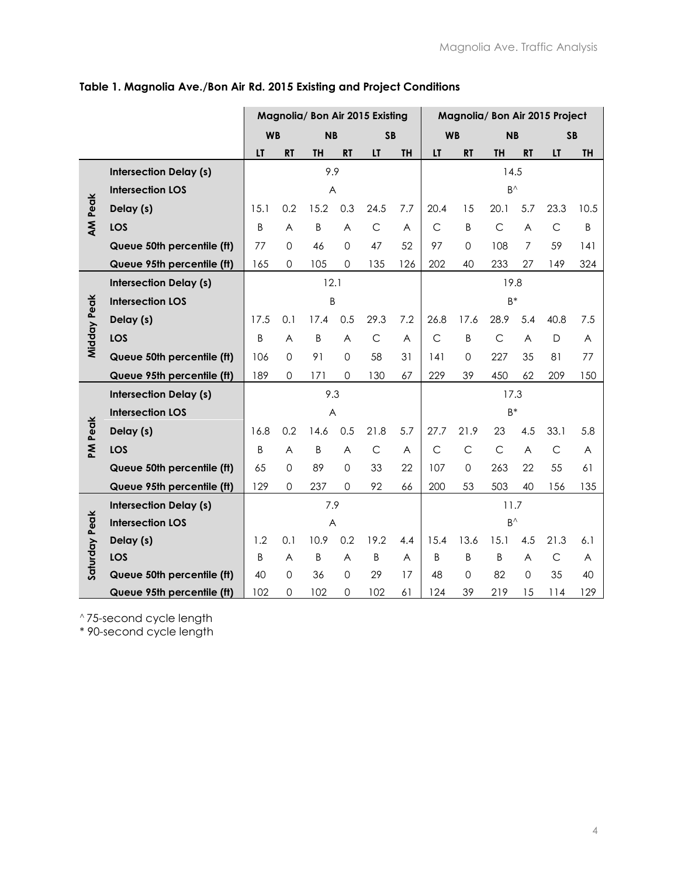|                |                               |           |             |           |             | Magnolia/ Bon Air 2015 Existing | Magnolia/ Bon Air 2015 Project |              |              |              |                |              |           |  |  |
|----------------|-------------------------------|-----------|-------------|-----------|-------------|---------------------------------|--------------------------------|--------------|--------------|--------------|----------------|--------------|-----------|--|--|
|                |                               | <b>WB</b> |             | <b>NB</b> |             | <b>SB</b>                       |                                |              | <b>WB</b>    | <b>NB</b>    |                | <b>SB</b>    |           |  |  |
|                |                               | LT        | <b>RT</b>   | <b>TH</b> | <b>RT</b>   | LT                              | <b>TH</b>                      | LT           | <b>RT</b>    | <b>TH</b>    | <b>RT</b>      | LT           | <b>TH</b> |  |  |
|                | <b>Intersection Delay (s)</b> |           |             | 9.9       |             |                                 |                                |              |              | 14.5         |                |              |           |  |  |
|                | <b>Intersection LOS</b>       |           |             | A         |             |                                 |                                |              |              | $B^{\wedge}$ |                |              |           |  |  |
| <b>AM Peak</b> | Delay (s)                     | 15.1      | 0.2         | 15.2      | 0.3         | 24.5                            | 7.7                            | 20.4         | 15           | 20.1         | 5.7            | 23.3         | 10.5      |  |  |
|                | LOS                           | B         | A           | B         | A           | $\mathsf{C}$                    | A                              | $\mathsf{C}$ | B            | $\mathsf{C}$ | A              | $\mathsf{C}$ | B         |  |  |
|                | Queue 50th percentile (ft)    | 77        | $\mathbf 0$ | 46        | $\mathbf 0$ | 47                              | 52                             | 97           | $\mathbf 0$  | 108          | $\overline{7}$ | 59           | 4         |  |  |
|                | Queue 95th percentile (ft)    | 165       | $\Omega$    | 105       | $\Omega$    | 135                             | 126                            | 202          | 40           | 233          | 27             | 149          | 324       |  |  |
|                | <b>Intersection Delay (s)</b> |           |             | 12.1      |             |                                 |                                | 19.8         |              |              |                |              |           |  |  |
|                | <b>Intersection LOS</b>       |           |             | B         |             |                                 |                                |              |              | $B^*$        |                |              |           |  |  |
| Midday Peak    | Delay (s)                     | 17.5      | 0.1         | 17.4      | 0.5         | 29.3                            | 7.2                            | 26.8         | 17.6         | 28.9         | 5.4            | 40.8         | 7.5       |  |  |
|                | LOS                           | B         | A           | B         | A           | $\mathsf{C}$                    | A                              | C            | B            | $\mathsf{C}$ | $\overline{A}$ | D            | A         |  |  |
|                | Queue 50th percentile (ft)    | 106       | $\mathbf 0$ | 91        | $\mathbf 0$ | 58                              | 31                             | 141          | $\mathbf 0$  | 227          | 35             | 81           | 77        |  |  |
|                | Queue 95th percentile (ft)    | 189       | $\Omega$    | 171       | $\Omega$    | 130                             | 67                             | 229          | 39           | 450          | 62             | 209          | 150       |  |  |
|                | <b>Intersection Delay (s)</b> |           |             | 9.3       |             |                                 |                                |              |              | 17.3         |                |              |           |  |  |
|                | <b>Intersection LOS</b>       |           |             | A         |             |                                 |                                |              |              | $B^*$        |                |              |           |  |  |
| PM Peak        | Delay (s)                     | 16.8      | 0.2         | 14.6      | 0.5         | 21.8                            | 5.7                            | 27.7         | 21.9         | 23           | 4.5            | 33.1         | 5.8       |  |  |
|                | LOS                           | B         | A           | B         | A           | $\mathsf{C}$                    | A                              | $\mathsf{C}$ | $\mathsf{C}$ | $\mathsf{C}$ | $\overline{A}$ | $\mathsf C$  | A         |  |  |
|                | Queue 50th percentile (ft)    | 65        | $\mathbf 0$ | 89        | $\mathbf 0$ | 33                              | 22                             | 107          | $\Omega$     | 263          | 22             | 55           | 61        |  |  |
|                | Queue 95th percentile (ft)    | 129       | $\Omega$    | 237       | $\Omega$    | 92                              | 66                             | 200          | 53           | 503          | 40             | 156          | 135       |  |  |
|                | <b>Intersection Delay (s)</b> |           |             | 7.9       |             |                                 |                                |              | 11.7         |              |                |              |           |  |  |
|                | <b>Intersection LOS</b>       |           |             | A         |             |                                 |                                |              |              | $B^{\wedge}$ |                |              |           |  |  |
|                | Delay (s)                     | 1.2       | 0.1         | 10.9      | 0.2         | 19.2                            | 4.4                            | 15.4         | 13.6         | 15.1         | 4.5            | 21.3         | 6.1       |  |  |
| Saturday Peak  | LOS                           | B         | A           | Β         | A           | B                               | A                              | B            | B            | B            | A              | $\mathsf C$  | A         |  |  |
|                | Queue 50th percentile (ft)    | 40        | $\Omega$    | 36        | $\mathbf 0$ | 29                              | 17                             | 48           | $\Omega$     | 82           | 0              | 35           | 40        |  |  |
|                | Queue 95th percentile (ft)    | 102       | 0           | 102       | 0           | 102                             | 61                             | 124          | 39           | 219          | 15             | 114          | 129       |  |  |

# **Table 1. Magnolia Ave./Bon Air Rd. 2015 Existing and Project Conditions**

^ 75-second cycle length

\* 90-second cycle length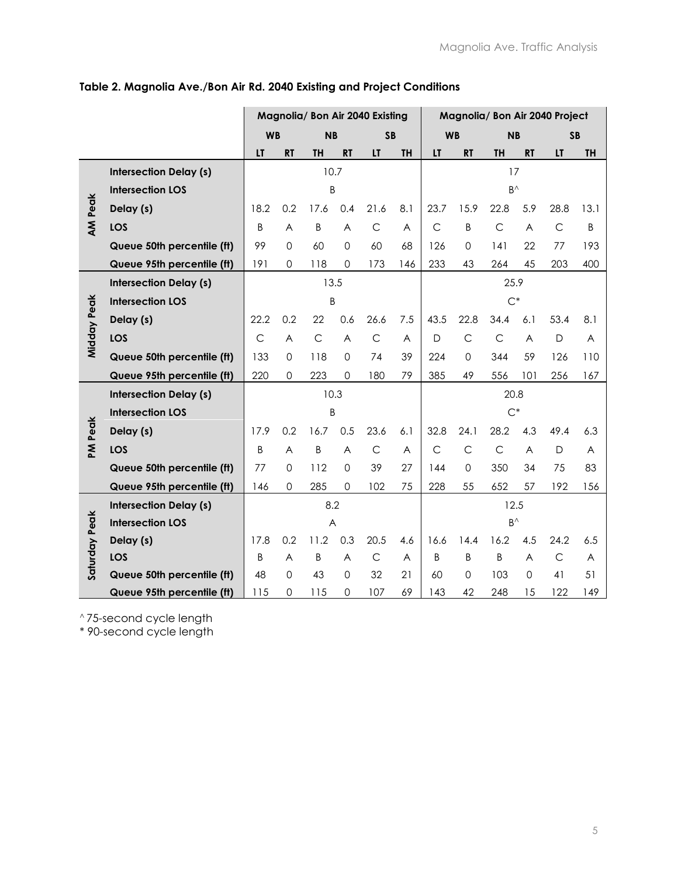|                |                               |              |                |              |                | Magnolia/ Bon Air 2040 Existing | Magnolia/ Bon Air 2040 Project |              |              |                     |             |              |           |
|----------------|-------------------------------|--------------|----------------|--------------|----------------|---------------------------------|--------------------------------|--------------|--------------|---------------------|-------------|--------------|-----------|
|                |                               | <b>WB</b>    |                | <b>NB</b>    |                | <b>SB</b>                       |                                |              | <b>WB</b>    | <b>NB</b>           |             |              | <b>SB</b> |
|                |                               | LT           | <b>RT</b>      | TH           | <b>RT</b>      | LT                              | <b>TH</b>                      | LT           | <b>RT</b>    | <b>TH</b>           | <b>RT</b>   | LT           | <b>TH</b> |
|                | <b>Intersection Delay (s)</b> |              |                |              | 10.7           |                                 |                                |              |              | 17                  |             |              |           |
|                | <b>Intersection LOS</b>       |              |                |              | B              |                                 |                                |              |              | $\mathsf{B}^\wedge$ |             |              |           |
| <b>AM Peak</b> | Delay (s)                     | 18.2         | 0.2            | 17.6         | 0.4            | 21.6                            | 8.1                            | 23.7         | 15.9         | 22.8                | 5.9         | 28.8         | 13.1      |
|                | LOS                           | B            | A              | Β            | A              | $\mathsf C$                     | A                              | $\mathsf{C}$ | B            | $\mathsf{C}$        | A           | $\mathsf C$  | B         |
|                | Queue 50th percentile (ft)    | 99           | $\overline{0}$ | 60           | $\mathbf 0$    | 60                              | 68                             | 126          | $\Omega$     | 141                 | 22          | 77           | 193       |
|                | Queue 95th percentile (ft)    | 191          | 0              | 118          | $\mathbf 0$    | 173                             | 146                            | 233          | 43           | 264                 | 45          | 203          | 400       |
|                | <b>Intersection Delay (s)</b> |              |                |              | 13.5           |                                 |                                |              |              | 25.9                |             |              |           |
|                | <b>Intersection LOS</b>       |              |                |              | B              |                                 |                                |              |              | $\mathrm{C}^*$      |             |              |           |
|                | Delay (s)                     | 22.2         | 0.2            | 22           | 0.6            | 26.6                            | 7.5                            | 43.5         | 22.8         | 34.4                | 6.1         | 53.4         | 8.1       |
| Midday Peak    | LOS                           | $\mathsf{C}$ | A              | $\mathsf{C}$ | A              | $\mathsf{C}$                    | A                              | D            | C            | $\mathsf{C}$        | A           | D            | A         |
|                | Queue 50th percentile (ft)    | 133          | $\mathbf 0$    | 118          | $\mathbf 0$    | 74                              | 39                             | 224          | $\Omega$     | 344                 | 59          | 126          | 110       |
|                | Queue 95th percentile (ft)    | 220          | 0              | 223          | $\overline{0}$ | 180                             | 79                             | 385          | 49           | 556                 | 101         | 256          | 167       |
|                | <b>Intersection Delay (s)</b> |              |                |              | 10.3           |                                 |                                |              |              | 20.8                |             |              |           |
|                | <b>Intersection LOS</b>       |              |                | B            |                |                                 |                                |              |              | $C^*$               |             |              |           |
| PM Peak        | Delay (s)                     | 17.9         | 0.2            | 16.7         | 0.5            | 23.6                            | 6.1                            | 32.8         | 24.1         | 28.2                | 4.3         | 49.4         | 6.3       |
|                | LOS                           | B            | A              | B            | A              | $\mathsf C$                     | A                              | $\mathsf{C}$ | $\mathsf{C}$ | $\mathsf{C}$        | A           | $\mathsf{D}$ | A         |
|                | Queue 50th percentile (ft)    | 77           | $\Omega$       | 112          | $\Omega$       | 39                              | 27                             | 144          | $\Omega$     | 350                 | 34          | 75           | 83        |
|                | Queue 95th percentile (ft)    | 146          | 0              | 285          | $\Omega$       | 102                             | 75                             | 228          | 55           | 652                 | 57          | 192          | 156       |
|                | <b>Intersection Delay (s)</b> |              |                | 8.2          |                |                                 |                                |              | 12.5         |                     |             |              |           |
|                | <b>Intersection LOS</b>       |              |                | A            |                |                                 |                                |              |              | $B^{\wedge}$        |             |              |           |
|                | Delay (s)                     | 17.8         | 0.2            | 11.2         | 0.3            | 20.5                            | 4.6                            | 16.6         | 14.4         | 16.2                | 4.5         | 24.2         | 6.5       |
| Saturday Peak  | LOS                           | B            | A              | Β            | A              | $\mathsf C$                     | A                              | B            | B            | B                   | A           | $\mathsf C$  | A         |
|                | Queue 50th percentile (ft)    | 48           | $\Omega$       | 43           | 0              | 32                              | 21                             | 60           | $\Omega$     | 103                 | $\mathbf 0$ | 41           | 51        |
|                | Queue 95th percentile (ft)    | 115          | 0              | 115          | 0              | 107                             | 69                             | 143          | 42           | 248                 | 15          | 122          | 149       |

# **Table 2. Magnolia Ave./Bon Air Rd. 2040 Existing and Project Conditions**

^ 75-second cycle length

\* 90-second cycle length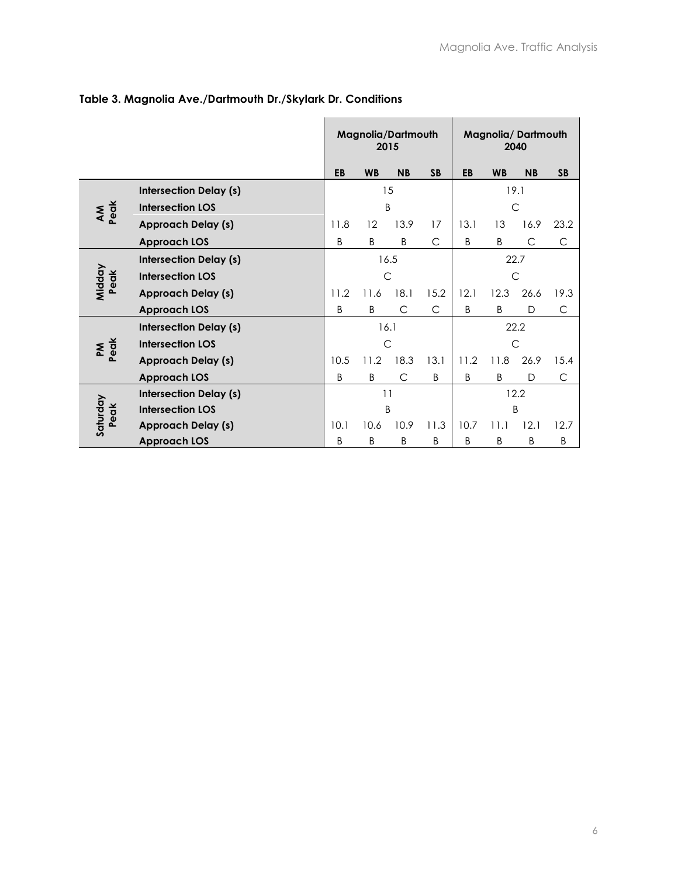|                |                               |              | 2015         | Magnolia/Dartmouth |           | Magnolia/Dartmouth<br>2040 |              |              |           |  |  |  |
|----------------|-------------------------------|--------------|--------------|--------------------|-----------|----------------------------|--------------|--------------|-----------|--|--|--|
|                |                               | EB           | <b>WB</b>    | <b>NB</b>          | <b>SB</b> | EB                         | <b>WB</b>    | <b>NB</b>    | <b>SB</b> |  |  |  |
|                | <b>Intersection Delay (s)</b> |              |              | 15                 |           | 19.1                       |              |              |           |  |  |  |
| AM<br>Peak     | <b>Intersection LOS</b>       |              |              | B                  |           |                            |              | $\mathsf{C}$ |           |  |  |  |
|                | <b>Approach Delay (s)</b>     | 11.8         | 12           | 13.9               | 17        | 13.1                       | 13           | 16.9         | 23.2      |  |  |  |
|                | <b>Approach LOS</b>           | B            | B            | B                  | C         | B                          | B            | C            | C         |  |  |  |
|                | <b>Intersection Delay (s)</b> |              |              | 16.5               | 22.7      |                            |              |              |           |  |  |  |
| Midday<br>Peak | <b>Intersection LOS</b>       |              | $\mathsf{C}$ |                    |           |                            | $\mathsf{C}$ |              |           |  |  |  |
|                | <b>Approach Delay (s)</b>     | 11.2         | 11.6         | 18.1               | 15.2      | 12.1                       | 12.3         | 26.6         | 19.3      |  |  |  |
|                | <b>Approach LOS</b>           | B            | B            | C                  | C         | B                          | B            | D            | С         |  |  |  |
|                | <b>Intersection Delay (s)</b> |              | 16.1         |                    |           |                            |              | 22.2         |           |  |  |  |
| Peak<br>ΣÑ     | <b>Intersection LOS</b>       |              | $\mathsf{C}$ |                    |           |                            | $\mathsf{C}$ |              |           |  |  |  |
|                | <b>Approach Delay (s)</b>     | 10.5         | 11.2         | 18.3               | 13.1      | 11.2                       | 11.8         | 26.9         | 15.4      |  |  |  |
|                | <b>Approach LOS</b>           | <sub>B</sub> | B            | C                  | B         | B                          | B            | D            | C         |  |  |  |
|                | <b>Intersection Delay (s)</b> |              | 11           |                    |           | 12.2                       |              |              |           |  |  |  |
| Peak           | <b>Intersection LOS</b>       |              |              | B                  |           |                            |              | B            |           |  |  |  |
| Saturday       | <b>Approach Delay (s)</b>     | 10.1         | 10.6         | 10.9               | 11.3      | 10.7                       | 11.1         | 12.1         | 12.7      |  |  |  |
|                | <b>Approach LOS</b>           | <sub>B</sub> | B            | B                  | B         | B                          | B            | B            | B         |  |  |  |

## **Table 3. Magnolia Ave./Dartmouth Dr./Skylark Dr. Conditions**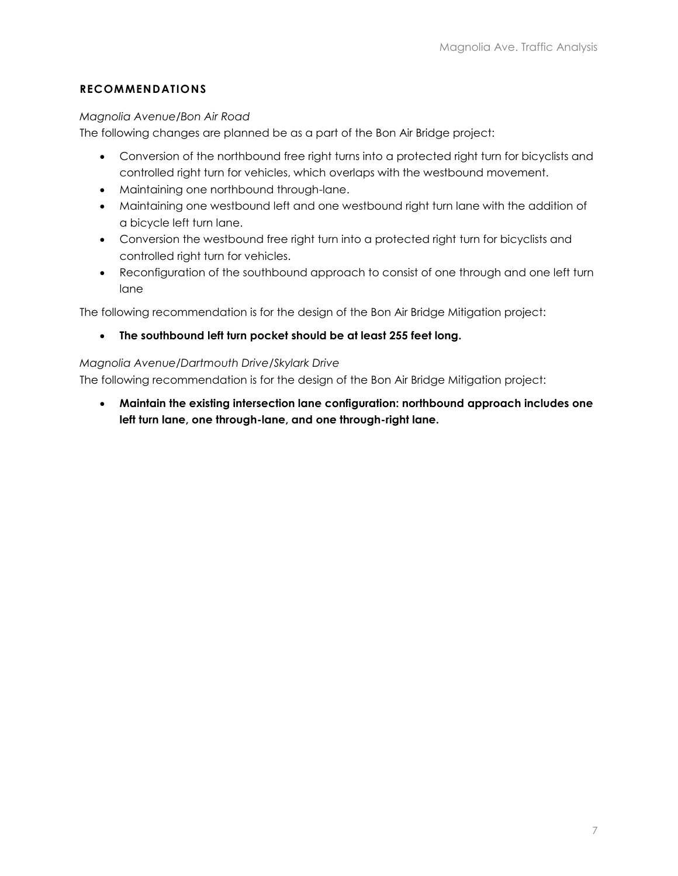## **RECOMMENDATIONS**

### *Magnolia Avenue/Bon Air Road*

The following changes are planned be as a part of the Bon Air Bridge project:

- Conversion of the northbound free right turns into a protected right turn for bicyclists and controlled right turn for vehicles, which overlaps with the westbound movement.
- Maintaining one northbound through-lane.
- Maintaining one westbound left and one westbound right turn lane with the addition of a bicycle left turn lane.
- Conversion the westbound free right turn into a protected right turn for bicyclists and controlled right turn for vehicles.
- Reconfiguration of the southbound approach to consist of one through and one left turn lane

The following recommendation is for the design of the Bon Air Bridge Mitigation project:

**The southbound left turn pocket should be at least 255 feet long.**

### *Magnolia Avenue/Dartmouth Drive/Skylark Drive*

The following recommendation is for the design of the Bon Air Bridge Mitigation project:

 **Maintain the existing intersection lane configuration: northbound approach includes one left turn lane, one through-lane, and one through-right lane.**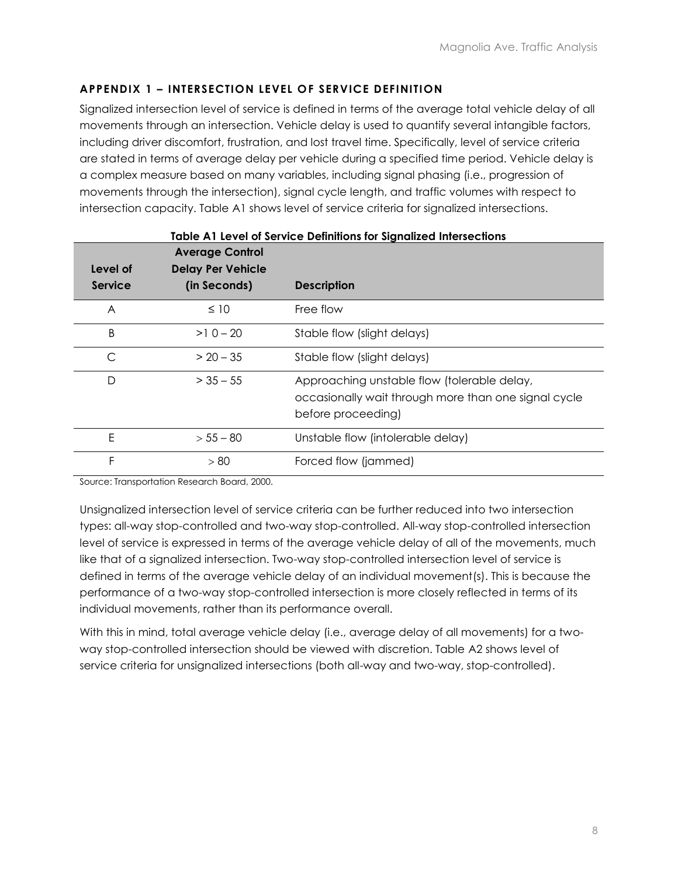## **APPENDIX 1 – INTERSECTION LEVEL OF SERVICE DEFINITION**

Signalized intersection level of service is defined in terms of the average total vehicle delay of all movements through an intersection. Vehicle delay is used to quantify several intangible factors, including driver discomfort, frustration, and lost travel time. Specifically, level of service criteria are stated in terms of average delay per vehicle during a specified time period. Vehicle delay is a complex measure based on many variables, including signal phasing (i.e., progression of movements through the intersection), signal cycle length, and traffic volumes with respect to intersection capacity. Table A1 shows level of service criteria for signalized intersections.

| Level of       | <b>Average Control</b><br><b>Delay Per Vehicle</b> |                                                                                                                           |
|----------------|----------------------------------------------------|---------------------------------------------------------------------------------------------------------------------------|
| <b>Service</b> | (in Seconds)                                       | <b>Description</b>                                                                                                        |
| A              | $\leq 10$                                          | Free flow                                                                                                                 |
| B              | $>10-20$                                           | Stable flow (slight delays)                                                                                               |
| C              | $> 20 - 35$                                        | Stable flow (slight delays)                                                                                               |
| D              | $>$ 35 $-$ 55                                      | Approaching unstable flow (tolerable delay,<br>occasionally wait through more than one signal cycle<br>before proceeding) |
| E              | $> 55 - 80$                                        | Unstable flow (intolerable delay)                                                                                         |
| F              | > 80                                               | Forced flow (jammed)                                                                                                      |

**Table A1 Level of Service Definitions for Signalized Intersections**

Source: Transportation Research Board, 2000.

Unsignalized intersection level of service criteria can be further reduced into two intersection types: all-way stop-controlled and two-way stop-controlled. All-way stop-controlled intersection level of service is expressed in terms of the average vehicle delay of all of the movements, much like that of a signalized intersection. Two-way stop-controlled intersection level of service is defined in terms of the average vehicle delay of an individual movement(s). This is because the performance of a two-way stop-controlled intersection is more closely reflected in terms of its individual movements, rather than its performance overall.

With this in mind, total average vehicle delay (i.e., average delay of all movements) for a twoway stop-controlled intersection should be viewed with discretion. Table A2 shows level of service criteria for unsignalized intersections (both all-way and two-way, stop-controlled).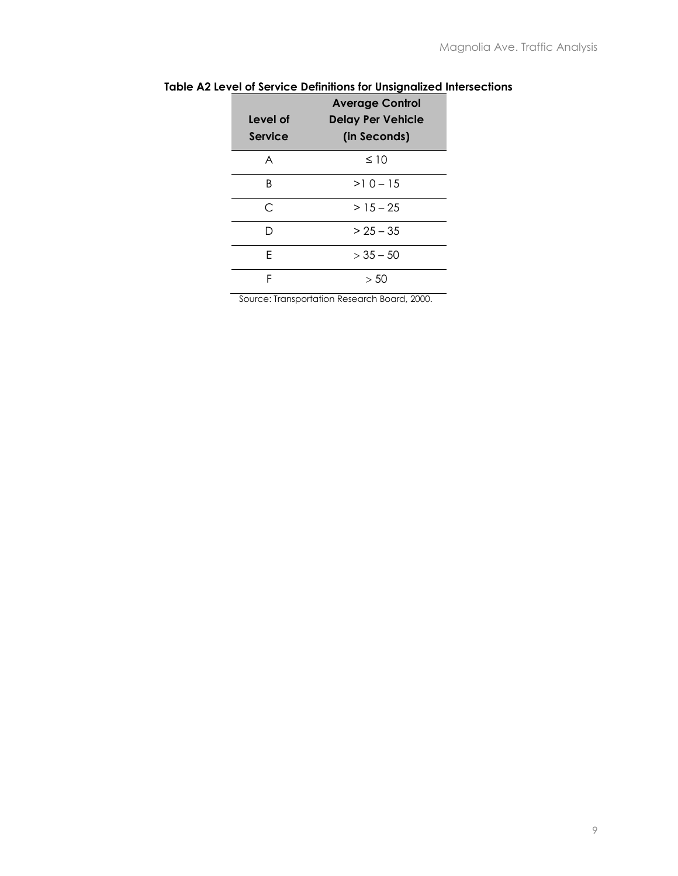| Level of<br>Service | <b>Average Control</b><br><b>Delay Per Vehicle</b><br>(in Seconds) |
|---------------------|--------------------------------------------------------------------|
| A                   | $\leq 10$                                                          |
| R                   | $>10-15$                                                           |
| C                   | $>15-25$                                                           |
| D                   | $> 25 - 35$                                                        |
| F                   | $> 35 - 50$                                                        |
| F                   | > 50                                                               |
|                     | Source: Transportation Research Board, 2000                        |

### **Table A2 Level of Service Definitions for Unsignalized Intersections**

Source: Transportation Research Board, 2000.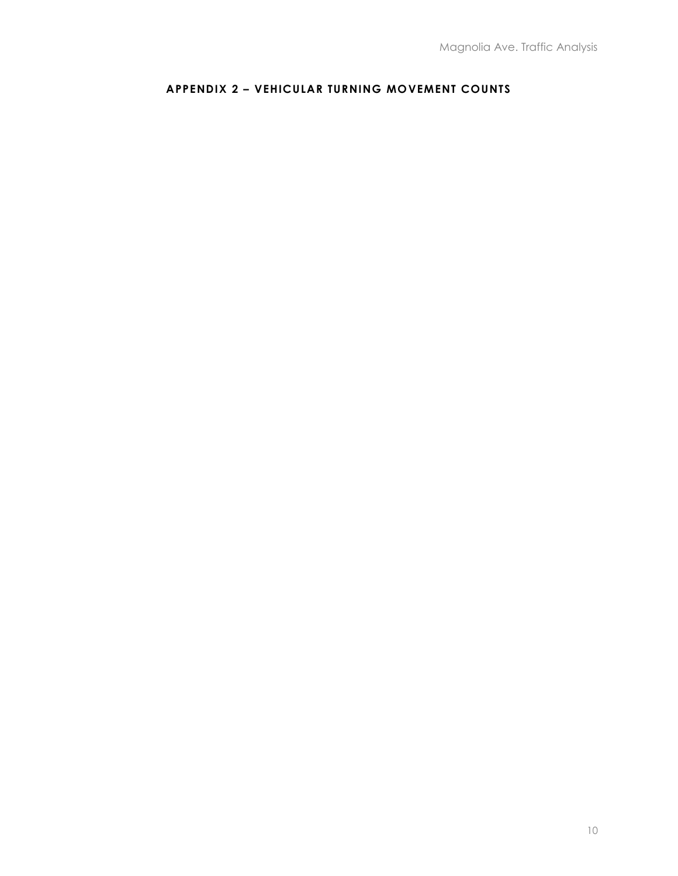# **APPENDIX 2 – VEHICULAR TURNING MOVEMENT COUNTS**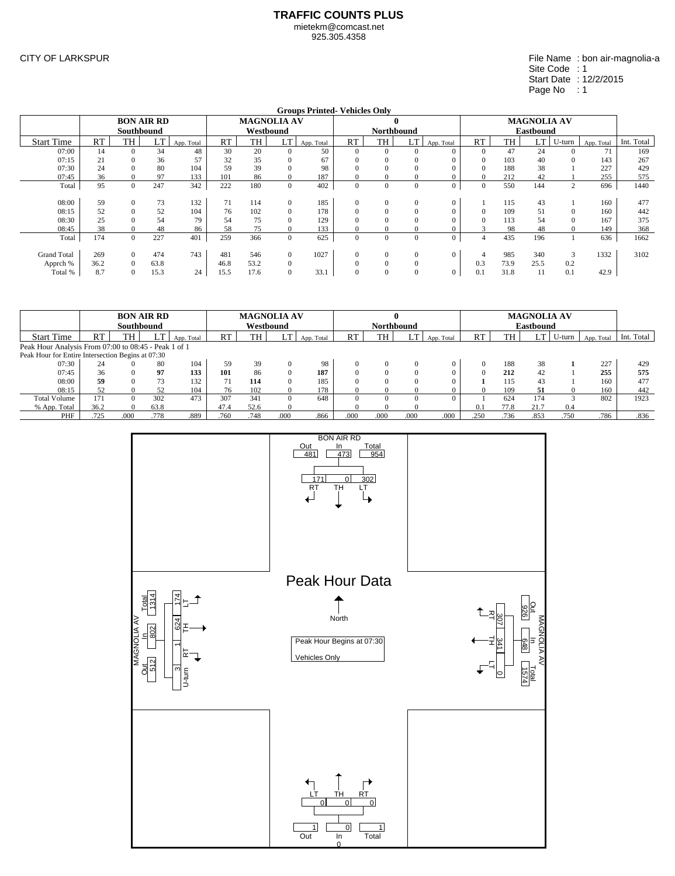925.305.4358

CITY OF LARKSPUR

#### File Name : bon air-magnolia-a Site Code : 1 Start Date : 12/2/2015 Page No : 1

|                    | <b>Groups Printed-Vehicles Only</b><br><b>BON AIR RD</b><br><b>MAGNOLIA AV</b><br><b>MAGNOLIA AV</b><br>$\mathbf{0}$ |            |      |            |      |           |                |            |              |                   |                |                |                |      |                  |        |            |            |
|--------------------|----------------------------------------------------------------------------------------------------------------------|------------|------|------------|------|-----------|----------------|------------|--------------|-------------------|----------------|----------------|----------------|------|------------------|--------|------------|------------|
|                    |                                                                                                                      |            |      |            |      |           |                |            |              |                   |                |                |                |      |                  |        |            |            |
|                    |                                                                                                                      | Southbound |      |            |      | Westbound |                |            |              | <b>Northbound</b> |                |                |                |      | <b>Eastbound</b> |        |            |            |
| <b>Start Time</b>  | <b>RT</b>                                                                                                            | <b>TH</b>  | LT   | App. Total | RT   | TH        | LT             | App. Total | RT           | TH                | LT             | App. Total     | RT             | TH   | LT               | U-turn | App. Total | Int. Total |
| 07:00              | 14                                                                                                                   | $\Omega$   | 34   | 48         | 30   | 20        |                | 50         | $\Omega$     | $\Omega$          | $\Omega$       | $\Omega$       | $\Omega$       | 47   | 24               |        | 71         | 169        |
| 07:15              | 21                                                                                                                   |            | 36   | 57         | 32   | 35        |                | 67         | 0            |                   | $\Omega$       |                | $\Omega$       | 103  | 40               |        | 143        | 267        |
| 07:30              | 24                                                                                                                   |            | 80   | 104        | 59   | 39        |                | 98         | 0            |                   | $\Omega$       |                | $\Omega$       | 188  | 38               |        | 227        | 429        |
| 07:45              | 36                                                                                                                   |            | 97   | 133        | 101  | 86        |                | 187        | 0            |                   | 0              | $\Omega$       | $\Omega$       | 212  | 42               |        | 255        | 575        |
| Total              | 95                                                                                                                   | $\Omega$   | 247  | 342        | 222  | 180       | $\Omega$       | 402        | $\Omega$     | $\Omega$          | $\Omega$       | $\mathbf{0}$   | $\mathbf{0}$   | 550  | 144              | 2      | 696        | 1440       |
|                    |                                                                                                                      |            |      |            |      |           |                |            |              |                   |                |                |                |      |                  |        |            |            |
| 08:00              | 59                                                                                                                   | $\Omega$   | 73   | 132        | 71   | 114       | $\overline{0}$ | 185        | $\mathbf{0}$ | $\Omega$          | $\overline{0}$ | $\overline{0}$ |                | 115  | 43               |        | 160        | 477        |
| 08:15              | 52                                                                                                                   | $\Omega$   | 52   | 104        | 76   | 102       |                | 178        | $\Omega$     |                   | $\Omega$       | $\Omega$       | $\Omega$       | 109  | 51               |        | 160        | 442        |
| 08:30              | 25                                                                                                                   |            | 54   | 79         | 54   | 75        |                | 129        | 0            |                   | $\Omega$       |                | $\Omega$       | 113  | 54               |        | 167        | 375        |
| 08:45              | 38                                                                                                                   |            | 48   | 86         | 58   | 75        |                | 133        | 0            |                   |                |                |                | 98   | 48               |        | 149        | 368        |
| Total              | 174                                                                                                                  | $\Omega$   | 227  | 401        | 259  | 366       | $\overline{0}$ | 625        | $\Omega$     | $\Omega$          | $\Omega$       | $\mathbf{0}$   | $\overline{4}$ | 435  | 196              |        | 636        | 1662       |
|                    |                                                                                                                      |            |      |            |      |           |                |            |              |                   |                |                |                |      |                  |        |            |            |
| <b>Grand Total</b> | 269                                                                                                                  | $\Omega$   | 474  | 743        | 481  | 546       | $\overline{0}$ | 1027       | $\Omega$     | $\Omega$          | $\Omega$       | $\Omega$       | $\overline{4}$ | 985  | 340              | 3      | 1332       | 3102       |
| Apprch %           | 36.2                                                                                                                 | $\Omega$   | 63.8 |            | 46.8 | 53.2      | $\mathbf{0}$   |            | $\Omega$     |                   | $\Omega$       |                | 0.3            | 73.9 | 25.5             | 0.2    |            |            |
| Total %            | 8.7                                                                                                                  | $\Omega$   | 15.3 | 24         | 15.5 | 17.6      |                | 33.1       | $\Omega$     | $\Omega$          | $\Omega$       | $\mathbf{0}$   | 0.1            | 31.8 | 11               | 0.1    | 42.9       |            |

|                                                      |      | <b>BON AIR RD</b> |      |            |      | <b>MAGNOLIA AV</b> |          |            |          |                   |            |            |           |      | <b>MAGNOLIA AV</b> |        |            |            |
|------------------------------------------------------|------|-------------------|------|------------|------|--------------------|----------|------------|----------|-------------------|------------|------------|-----------|------|--------------------|--------|------------|------------|
|                                                      |      | Southbound        |      |            |      | Westbound          |          |            |          | <b>Northbound</b> |            |            |           |      | <b>Eastbound</b>   |        |            |            |
| <b>Start Time</b>                                    | RT   | <b>TH</b>         | LT   | App. Total | RT   | TH                 | LT       | App. Total | RT       | TH                | LT         | App. Total | <b>RT</b> | TH   | <b>LT</b>          | U-turn | App. Total | Int. Total |
| Peak Hour Analysis From 07:00 to 08:45 - Peak 1 of 1 |      |                   |      |            |      |                    |          |            |          |                   |            |            |           |      |                    |        |            |            |
| Peak Hour for Entire Intersection Begins at 07:30    |      |                   |      |            |      |                    |          |            |          |                   |            |            |           |      |                    |        |            |            |
| 07:30                                                | 24   |                   | 80   | 104        | 59   | 39                 |          | 98         |          |                   | $\Omega$   |            | $\Omega$  | 188  | 38                 |        | 227        | 429        |
| 07:45                                                | 36   |                   | 97   | 133        | 101  | 86                 |          | 187        |          |                   | $\Omega$   |            |           | 212  | 42                 |        | 255        | 575        |
| 08:00                                                | 59   |                   | 73   | 132        | 71   | 114                |          | 185        |          |                   | 0          |            |           | 115  | 43                 |        | 160        | 477        |
| 08:15                                                | 52   |                   | 52   | 104        | 76   | 102                |          | 178        |          |                   | - 11       |            | $\Omega$  | 109  | 51                 |        | 160        | 442        |
| <b>Total Volume</b>                                  | 171  | $\Omega$          | 302  | 473        | 307  | 341                | $\Omega$ | 648        | $\Omega$ | $^{\prime}$       | $^{\circ}$ | 0          |           | 624  | 174                |        | 802        | 1923       |
| % App. Total                                         | 36.2 | $\Omega$          | 63.8 |            | 47.4 | 52.6               |          |            |          |                   |            |            | 0.1       | 77.8 | 21.7               | 0.4    |            |            |
| PHF                                                  | .725 | .000              | .778 | .889       | .760 | .748               | .000     | .866       | .000     | .000              | .000       | .000       | .250      | .736 | .853               | .750   | .786       | .836       |

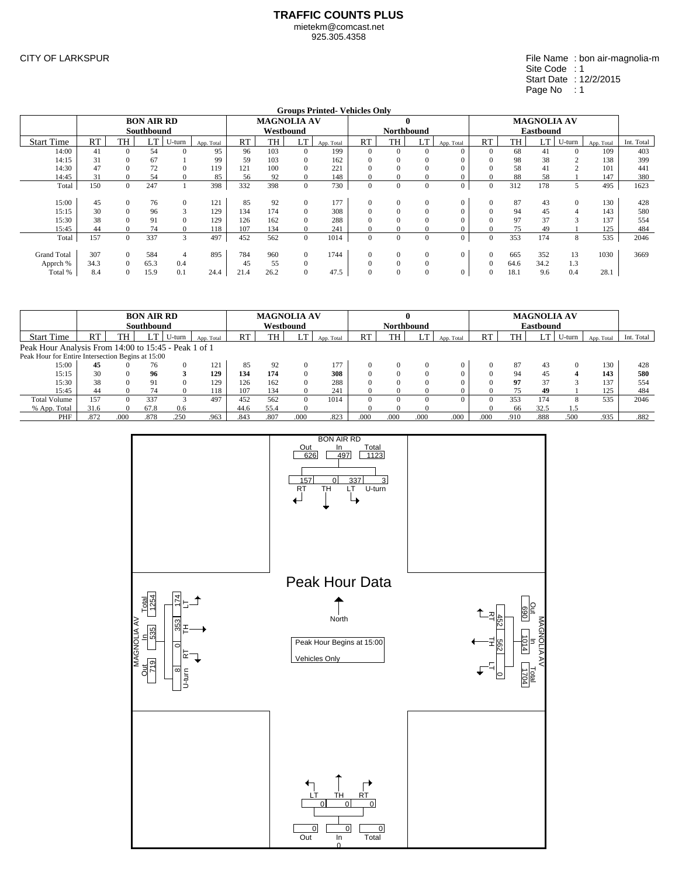925.305.4358

CITY OF LARKSPUR

| File Name: bon air-magnolia-m |
|-------------------------------|
| Site Code : 1                 |
| Start Date: 12/2/2015         |
| Page No : 1                   |
|                               |

|                    | <b>Groups Printed-Vehicles Only</b> |                |                   |          |            |      |           |                    |            |          |                   |                |                  |              |           |                    |              |            |            |
|--------------------|-------------------------------------|----------------|-------------------|----------|------------|------|-----------|--------------------|------------|----------|-------------------|----------------|------------------|--------------|-----------|--------------------|--------------|------------|------------|
|                    |                                     |                | <b>BON AIR RD</b> |          |            |      |           | <b>MAGNOLIA AV</b> |            |          |                   | $\mathbf{0}$   |                  |              |           | <b>MAGNOLIA AV</b> |              |            |            |
|                    |                                     |                | Southbound        |          |            |      | Westbound |                    |            |          | <b>Northbound</b> |                |                  |              |           | <b>Eastbound</b>   |              |            |            |
| <b>Start Time</b>  | <b>RT</b>                           | TH             | m<br>LI           | U-turn   | App. Total | RT   | <b>TH</b> | LT                 | App. Total | RT       | TH                | <b>LT</b>      | App. Total       | RT           | <b>TH</b> | LT                 | U-turn       | App. Total | Int. Total |
| 14:00              | 41                                  | $\Omega$       | 54                |          | 95         | 96   | 103       | $\Omega$           | 199        | $\Omega$ | $\Omega$          |                | $\Omega$         | $\Omega$     | 68        | 41                 |              | 109        | 403        |
| 14:15              | 31                                  | $\Omega$       | 67                |          | 99         | 59   | 103       |                    | 162        |          |                   |                | $\Omega$         |              | 98        | 38                 |              | 138        | 399        |
| 14:30              | 47                                  | $\Omega$       | 72                |          | 119        | 121  | 100       |                    | 221        |          |                   |                | 0                |              | 58        | 41                 |              | 101        | 441        |
| 14:45              | 31                                  | $\overline{0}$ | 54                |          | 85         | 56   | 92        | $\Omega$           | 148        |          | $\bf{0}$          |                | 0                | $\Omega$     | 88        | 58                 |              | 147        | 380        |
| Total              | 150                                 | $\Omega$       | 247               |          | 398        | 332  | 398       | $\mathbf{0}$       | 730        | $\Omega$ | $\overline{0}$    | 0              | $\overline{0}$   | $\Omega$     | 312       | 178                |              | 495        | 1623       |
|                    |                                     |                |                   |          |            |      |           |                    |            |          |                   |                |                  |              |           |                    |              |            |            |
| 15:00              | 45                                  | $\overline{0}$ | 76                | $\Omega$ | 121        | 85   | 92        | $\Omega$           | 177        | $\Omega$ | $\overline{0}$    | 0              | $\overline{0}$   | $\mathbf{0}$ | 87        | 43                 | $\mathbf{0}$ | 130        | 428        |
| 15:15              | 30                                  | $\Omega$       | 96                |          | 129        | 134  | 174       | $\Omega$           | 308        |          | $\theta$          |                | $\mathbf{0}$     | $\Omega$     | 94        | 45                 | 4            | 143        | 580        |
| 15:30              | 38                                  | $\Omega$       | 91                |          | 129        | 126  | 162       | $\Omega$           | 288        |          |                   |                | 0                |              | 97        | 37                 |              | 137        | 554        |
| 15:45              | 44                                  | $\Omega$       | 74                |          | 118        | 107  | 134       | $\Omega$           | 241        |          |                   |                | $\mathbf{0}$     |              | 75        | 49                 |              | 125        | 484        |
| Total              | 157                                 | $\overline{0}$ | 337               | 3        | 497        | 452  | 562       | $\overline{0}$     | 1014       | $\Omega$ | $\overline{0}$    | $\overline{0}$ | $\boldsymbol{0}$ | $\Omega$     | 353       | 174                | 8            | 535        | 2046       |
|                    |                                     |                |                   |          |            |      |           |                    |            |          |                   |                |                  |              |           |                    |              |            |            |
| <b>Grand Total</b> | 307                                 | $\Omega$       | 584               | 4        | 895        | 784  | 960       | $\Omega$           | 1744       | $\Omega$ | $\overline{0}$    | 0              | $\overline{0}$   | $\Omega$     | 665       | 352                | 13           | 1030       | 3669       |
| Apprch %           | 34.3                                | $\Omega$       | 65.3              | 0.4      |            | 45   | 55        | $\Omega$           |            |          | $\theta$          |                |                  | $\Omega$     | 64.6      | 34.2               | 1.3          |            |            |
| Total %            | 8.4                                 | $\Omega$       | 15.9              | 0.1      | 24.4       | 21.4 | 26.2      |                    | 47.5       | $\Omega$ | $\theta$          |                | 0                | $\Omega$     | 18.1      | 9.6                | 0.4          | 28.1       |            |

|                                                      |      |      | <b>BON AIR RD</b> |          |            |           | <b>MAGNOLIA AV</b> |      |            |          |                   |            |            |      |      | <b>MAGNOLIA AV</b> |          |            |            |
|------------------------------------------------------|------|------|-------------------|----------|------------|-----------|--------------------|------|------------|----------|-------------------|------------|------------|------|------|--------------------|----------|------------|------------|
|                                                      |      |      | Southbound        |          |            |           | Westbound          |      |            |          | <b>Northbound</b> |            |            |      |      | <b>Eastbound</b>   |          |            |            |
| <b>Start Time</b>                                    | RT   | TH   |                   | U-turn   | App. Total | <b>RT</b> | <b>TH</b>          |      | App. Total | RT       | TH                |            | App. Total | RT   | TH   | LT.                | U-turn   | App. Total | Int. Total |
| Peak Hour Analysis From 14:00 to 15:45 - Peak 1 of 1 |      |      |                   |          |            |           |                    |      |            |          |                   |            |            |      |      |                    |          |            |            |
| Peak Hour for Entire Intersection Begins at 15:00    |      |      |                   |          |            |           |                    |      |            |          |                   |            |            |      |      |                    |          |            |            |
| 15:00                                                | 45   |      | 76                | $\Omega$ | 121        | 85        | 92                 |      | 177        |          |                   | $^{\circ}$ | $\Omega$   |      | 87   | 43                 | $\Omega$ | 130        | 428        |
| 15:15                                                | 30   |      | 96                |          | 129        | 134       | 174                |      | 308        |          |                   | $\theta$   |            |      | 94   | 45                 |          | 143        | 580        |
| 15:30                                                | 38   |      | 91                | 0        | 129        | 126       | 162                |      | 288        |          |                   | $^{\circ}$ |            |      | 97   | 37                 |          | 137        | 554        |
| 15:45                                                | 44   |      | 74                |          | 118        | 107       | 134                |      | 241        | 0        |                   |            | 0          |      | 75   | 49                 |          | 125        | 484        |
| <b>Total Volume</b>                                  | 157  | 0    | 337               |          | 497        | 452       | 562                | 0    | 1014       | $\Omega$ |                   | 0          | $^{\circ}$ |      | 353  | 174                | 8        | 535        | 2046       |
| % App. Total                                         | 31.6 |      | 67.8              | 0.6      |            | 44.6      | 55.4               |      |            | 0        |                   |            |            |      | 66   | 32.5               |          |            |            |
| PHF                                                  | .872 | .000 | .878              | .250     | .963       | .843      | .807               | .000 | .823       | .000     | .000              | .000       | .000       | .000 | .910 | .888               | .500     | .935       | .882       |

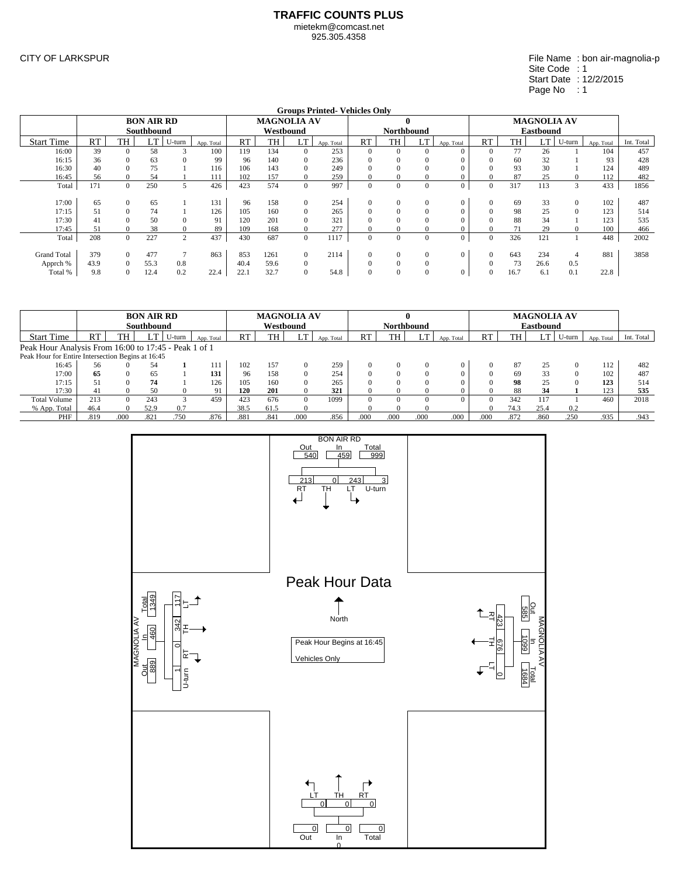925.305.4358

CITY OF LARKSPUR

|                    | <b>Groups Printed-Vehicles Only</b> |                |                   |                |            |      |                    |                |            |              |                   |                |                  |              |      |                    |                |            |            |
|--------------------|-------------------------------------|----------------|-------------------|----------------|------------|------|--------------------|----------------|------------|--------------|-------------------|----------------|------------------|--------------|------|--------------------|----------------|------------|------------|
|                    |                                     |                | <b>BON AIR RD</b> |                |            |      | <b>MAGNOLIA AV</b> |                |            |              |                   | 0              |                  |              |      | <b>MAGNOLIA AV</b> |                |            |            |
|                    |                                     |                | Southbound        |                |            |      |                    | Westbound      |            |              | <b>Northbound</b> |                |                  |              |      | <b>Eastbound</b>   |                |            |            |
| <b>Start Time</b>  | <b>RT</b>                           | TH             | °π.               | U-turn         | App. Total | RT   | <b>TH</b>          | LT             | App. Total | RT           | TH                | <b>LT</b>      | App. Total       | RT           | TH   | LT                 | U-turn         | App. Total | Int. Total |
| 16:00              | 39                                  | $\Omega$       | 58                |                | 100        | 119  | 134                | $\Omega$       | 253        | $\Omega$     | $\Omega$          | 0              | $\Omega$         | $\Omega$     | 77   | 26                 |                | 104        | 457        |
| 16:15              | 36                                  | $\Omega$       | 63                |                | 99         | 96   | 140                | $\Omega$       | 236        |              |                   |                | 0                | $\Omega$     | 60   | 32                 |                | 93         | 428        |
| 16:30              | 40                                  | $\Omega$       | 75                |                | 116        | 106  | 143                | $\Omega$       | 249        |              |                   |                | 0                |              | 93   | 30                 |                | 124        | 489        |
| 16:45              | 56                                  | $\Omega$       | 54                |                | 111        | 102  | 157                | $\Omega$       | 259        | $\Omega$     | $\Omega$          |                | 0                | $\Omega$     | 87   | 25                 |                | 112        | 482        |
| Total              | 171                                 | $\overline{0}$ | 250               | 5              | 426        | 423  | 574                | $\overline{0}$ | 997        | $\Omega$     | $\mathbf{0}$      | $\overline{0}$ | $\overline{0}$   | $\mathbf{0}$ | 317  | 113                | 3              | 433        | 1856       |
|                    |                                     |                |                   |                |            |      |                    |                |            |              |                   |                |                  |              |      |                    |                |            |            |
| 17:00              | 65                                  | $\overline{0}$ | 65                |                | 131        | 96   | 158                | $\Omega$       | 254        | $\Omega$     | $\mathbf{0}$      | 0              | $\overline{0}$   | $\mathbf{0}$ | 69   | 33                 | $\mathbf{0}$   | 102        | 487        |
| 17:15              | 51                                  | $\Omega$       | 74                |                | 126        | 105  | 160                | $\Omega$       | 265        |              | $\theta$          |                | $\Omega$         | $\Omega$     | 98   | 25                 |                | 123        | 514        |
| 17:30              | 41                                  | $\Omega$       | 50                | $\theta$       | 91         | 120  | 201                | $\Omega$       | 321        |              |                   |                | 0                | $\Omega$     | 88   | 34                 |                | 123        | 535        |
| 17:45              | 51                                  | $\mathbf{0}$   | 38                |                | 89         | 109  | 168                | $\Omega$       | 277        | $\Omega$     | $\theta$          |                | $\mathbf{0}$     | $\Omega$     | 71   | 29                 |                | 100        | 466        |
| Total              | 208                                 | $\overline{0}$ | 227               | $\overline{2}$ | 437        | 430  | 687                | $\mathbf{0}$   | 1117       | $\mathbf{0}$ | $\overline{0}$    | $\mathbf{0}$   | $\boldsymbol{0}$ | $\Omega$     | 326  | 121                |                | 448        | 2002       |
|                    |                                     |                |                   |                |            |      |                    |                |            |              |                   |                |                  |              |      |                    |                |            |            |
| <b>Grand Total</b> | 379                                 | $\Omega$       | 477               |                | 863        | 853  | 1261               | $\Omega$       | 2114       | $\Omega$     | $\mathbf{0}$      |                | $\overline{0}$   | $\Omega$     | 643  | 234                | $\overline{4}$ | 881        | 3858       |
| Apprch %           | 43.9                                | $\Omega$       | 55.3              | 0.8            |            | 40.4 | 59.6               | $\Omega$       |            |              |                   |                |                  | $\Omega$     | 73   | 26.6               | 0.5            |            |            |
| Total %            | 9.8                                 | $\Omega$       | 12.4              | 0.2            | 22.4       | 22.1 | 32.7               |                | 54.8       |              |                   |                | $\theta$         | $\Omega$     | 16.7 | 6.1                | 0.1            | 22.8       |            |

|                                                      |      |          | <b>BON AIR RD</b><br>Southbound |        |            |      | <b>MAGNOLIA AV</b><br>Westbound |          |            |           | 0<br><b>Northbound</b> |      |            |          |      | <b>MAGNOLIA AV</b><br><b>Eastbound</b> |              |            |            |
|------------------------------------------------------|------|----------|---------------------------------|--------|------------|------|---------------------------------|----------|------------|-----------|------------------------|------|------------|----------|------|----------------------------------------|--------------|------------|------------|
| <b>Start Time</b>                                    | RT   | TH       |                                 | U-turn | App. Total | RT   | TH                              |          | App. Total | <b>RT</b> | TH                     | LT   | App. Total | RT       | TH   | L 1.                                   | U-turn       | App. Total | Int. Total |
| Peak Hour Analysis From 16:00 to 17:45 - Peak 1 of 1 |      |          |                                 |        |            |      |                                 |          |            |           |                        |      |            |          |      |                                        |              |            |            |
| Peak Hour for Entire Intersection Begins at 16:45    |      |          |                                 |        |            |      |                                 |          |            |           |                        |      |            |          |      |                                        |              |            |            |
| 16:45                                                | 56   |          | 54                              |        | 111        | 102  | 157                             | $\Omega$ | 259        |           | $\Omega$               |      |            |          | 87   | 25                                     |              | 112        | 482        |
| 17:00                                                | 65   | $\Omega$ | 65                              |        | 131        | 96   | 158                             | $\Omega$ | 254        |           | $\Omega$               |      |            |          | 69   | 33                                     | $\mathbf{U}$ | 102        | 487        |
| 17:15                                                |      |          | 74                              |        | 126        | 105  | 160                             | $\Omega$ | 265        |           | $\Omega$               |      |            |          | 98   | 25                                     |              | 123        | 514        |
| 17:30                                                | 41   |          | 50                              |        | 91         | 120  | 201                             |          | 321        |           | $\Omega$               |      |            |          | 88   | 34                                     |              | 123        | 535        |
| <b>Total Volume</b>                                  | 213  | $\Omega$ | 243                             |        | 459        | 423  | 676                             | $\Omega$ | 1099       |           | $\Omega$               |      |            | $\Omega$ | 342  | 117                                    |              | 460        | 2018       |
| % App. Total                                         | 46.4 |          | 52.9                            | 0.7    |            | 38.5 | 61.5                            | $\Omega$ |            |           | $\Omega$               |      |            | $\Omega$ | 74.3 | 25.4                                   | 0.2          |            |            |
| PHF                                                  | .819 | .000     | .821                            | .750   | .876       | .881 | .84 <sup>°</sup>                | .000     | .856       | .000      | .000                   | .000 | .000       | .000     | .872 | .860                                   | .250         | .935       | .943       |

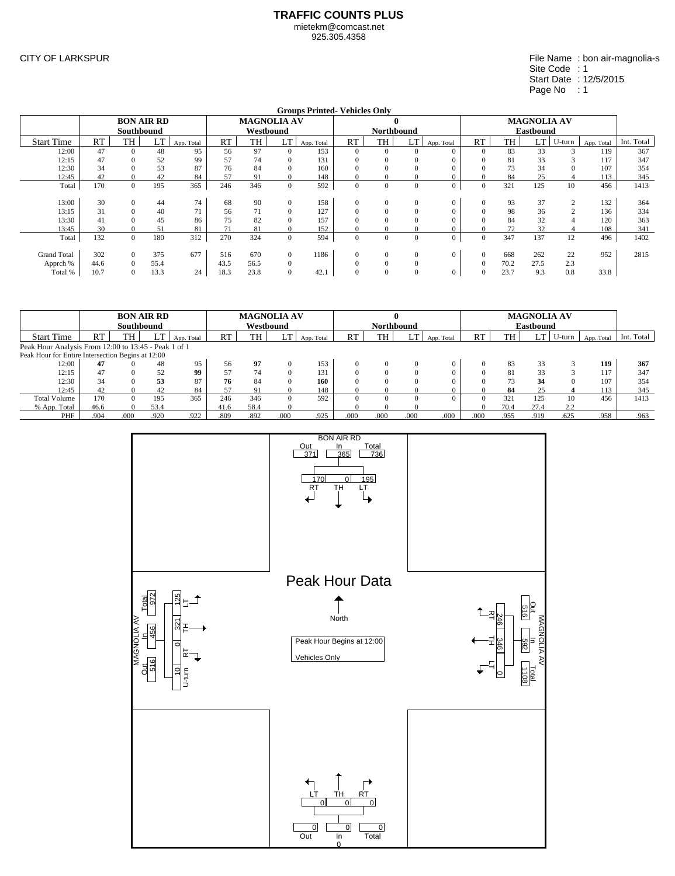925.305.4358

CITY OF LARKSPUR

#### File Name : bon air-magnolia-s Site Code : 1 Start Date : 12/5/2015 Page No : 1

|                    |      |                   |      |            |      |                    |                | <b>Groups Printed-Vehicles Only</b> |              |                   |              |                |              |      |                    |        |            |            |
|--------------------|------|-------------------|------|------------|------|--------------------|----------------|-------------------------------------|--------------|-------------------|--------------|----------------|--------------|------|--------------------|--------|------------|------------|
|                    |      | <b>BON AIR RD</b> |      |            |      | <b>MAGNOLIA AV</b> |                |                                     |              |                   | $\mathbf{0}$ |                |              |      | <b>MAGNOLIA AV</b> |        |            |            |
|                    |      | <b>Southbound</b> |      |            |      | Westbound          |                |                                     |              | <b>Northbound</b> |              |                |              |      | <b>Eastbound</b>   |        |            |            |
| <b>Start Time</b>  | RT   | <b>TH</b>         | LT   | App. Total | RT   | TH                 | LT             | App. Total                          | RT           | TH                | LT           | App. Total     | RT           | TH   | LT                 | U-turn | App. Total | Int. Total |
| 12:00              | 47   | $\Omega$          | 48   | 95         | 56   | 97                 |                | 153                                 | $\Omega$     | $\Omega$          | $\Omega$     | $\Omega$       | $\Omega$     | 83   | 33                 |        | 119        | 367        |
| 12:15              | 47   |                   | 52   | 99         | 57   | 74                 |                | 131                                 | 0            |                   | $\Omega$     |                | $\Omega$     | 81   | 33                 |        | 117        | 347        |
| 12:30              | 34   |                   | 53   | 87         | 76   | 84                 |                | 160                                 |              |                   | $\Omega$     |                | $\Omega$     | 73   | 34                 |        | 107        | 354        |
| 12:45              | 42   |                   | 42   | 84         | 57   | 91                 |                | 148                                 |              |                   |              |                | $\Omega$     | 84   | 25                 |        | 113        | 345        |
| Total              | 170  | $\overline{0}$    | 195  | 365        | 246  | 346                | $\overline{0}$ | 592                                 | $\mathbf{0}$ | $\Omega$          | $\Omega$     | $\overline{0}$ | $\mathbf{0}$ | 321  | 125                | 10     | 456        | 1413       |
|                    |      |                   |      |            |      |                    |                |                                     |              |                   |              |                |              |      |                    |        |            |            |
| 13:00              | 30   | $\Omega$          | 44   | 74         | 68   | 90                 | $\Omega$       | 158                                 | $\Omega$     | $\Omega$          | $\Omega$     | $\Omega$       | $\mathbf{0}$ | 93   | 37                 |        | 132        | 364        |
| 13:15              | 31   | $\Omega$          | 40   | 71         | 56   | 71                 |                | 127                                 | $\Omega$     |                   | $\Omega$     |                | $\Omega$     | 98   | 36                 |        | 136        | 334        |
| 13:30              | 41   |                   | 45   | 86         | 75   | 82                 |                | 157                                 |              |                   |              |                | $\Omega$     | 84   | 32                 |        | 120        | 363        |
| 13:45              | 30   |                   | 51   | 81         | 71   | 81                 |                | 152                                 | 0            |                   |              |                | $\Omega$     | 72   | 32                 |        | 108        | 341        |
| Total              | 132  | $\Omega$          | 180  | 312        | 270  | 324                | $\overline{0}$ | 594                                 | $\Omega$     | $\Omega$          | $\Omega$     | $\mathbf{0}$   | $\Omega$     | 347  | 137                | 12     | 496        | 1402       |
|                    |      |                   |      |            |      |                    |                |                                     |              |                   |              |                |              |      |                    |        |            |            |
| <b>Grand Total</b> | 302  | $\Omega$          | 375  | 677        | 516  | 670                | $\overline{0}$ | 1186                                | $\Omega$     | $\Omega$          | $\Omega$     | $\Omega$       | $\mathbf{0}$ | 668  | 262                | 22     | 952        | 2815       |
| Apprch %           | 44.6 | $\Omega$          | 55.4 |            | 43.5 | 56.5               | $\mathbf{0}$   |                                     | $\Omega$     |                   | $\Omega$     |                | $\Omega$     | 70.2 | 27.5               | 2.3    |            |            |
| Total %            | 10.7 | $\Omega$          | 13.3 | 24         | 18.3 | 23.8               | $\Omega$       | 42.1                                | $\Omega$     | $\Omega$          | $\Omega$     | $\mathbf{0}$   | $\Omega$     | 23.7 | 9.3                | 0.8    | 33.8       |            |

|                                                      |      | <b>BON AIR RD</b> |      |            |           | <b>MAGNOLIA AV</b> |      |            |             |                   |          |            |      |                 | <b>MAGNOLIA AV</b> |        |            |            |
|------------------------------------------------------|------|-------------------|------|------------|-----------|--------------------|------|------------|-------------|-------------------|----------|------------|------|-----------------|--------------------|--------|------------|------------|
|                                                      |      | Southbound        |      |            |           | Westbound          |      |            |             | <b>Northbound</b> |          |            |      |                 | <b>Eastbound</b>   |        |            |            |
| <b>Start Time</b>                                    | RT   | TH                | LT   | App. Total | <b>RT</b> | TH                 | LT   | App. Total | RT          | TH                | LT       | App. Total | RT   | <b>TH</b>       | LT                 | U-turn | App. Total | Int. Total |
| Peak Hour Analysis From 12:00 to 13:45 - Peak 1 of 1 |      |                   |      |            |           |                    |      |            |             |                   |          |            |      |                 |                    |        |            |            |
| Peak Hour for Entire Intersection Begins at 12:00    |      |                   |      |            |           |                    |      |            |             |                   |          |            |      |                 |                    |        |            |            |
| 12:00                                                | 47   |                   | 48   | 95         | 56        | 97                 |      | 153        |             |                   |          |            |      | 83              | 33                 |        | 119        | 367        |
| 12:15                                                | 47   |                   | 52   | 99         | 57        | 74                 |      | 131        |             |                   |          |            |      | 81              | 33                 |        | 17         | 347        |
| 12:30                                                | 34   |                   | 53   | 87         | 76        | 84                 |      | 160        |             |                   |          |            |      | 73              | 34                 |        | 107        | 354        |
| 12:45                                                | 42   |                   | 42   | 84         | 57        | 91                 |      | 148        |             |                   |          |            |      | 84              | 25                 |        | 13         | 345        |
| <b>Total Volume</b>                                  | 170  | $\Omega$          | 195  | 365        | 246       | 346                |      | 592        | $^{\prime}$ |                   | $\theta$ |            |      | 32 <sub>1</sub> | 125                | 10     | 456        | 1413       |
| % App. Total                                         | 46.6 | $\theta$          | 53.4 |            | 41.6      | 58.4               |      |            |             |                   |          |            |      | 70.4            | 27.4               | 2.2    |            |            |
| PHF                                                  | .904 | .000              | .920 | .922       | .809      | .892               | .000 | .925       | .000        | .000              | .000     | .000       | .000 | .955            | .919               | .625   | .958       | .963       |

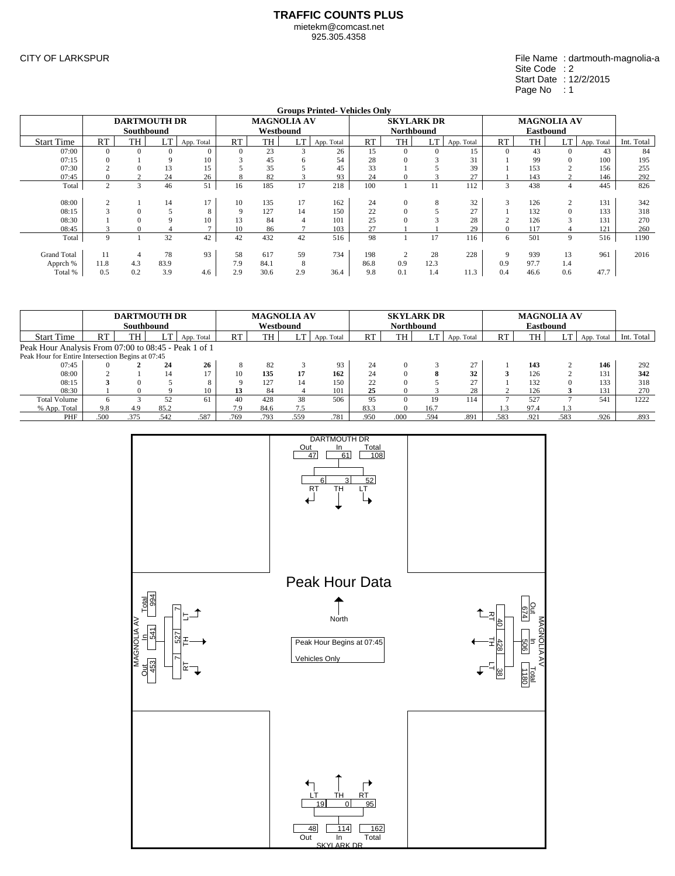925.305.4358

CITY OF LARKSPUR

File Name : dartmouth-magnolia-a Site Code : 2 Start Date : 12/2/2015 Page No : 1

|                    |                |                     |      |              |             |      |                    | <b>Groups Printed-Vehicles Only</b> |      |          |                   |            |             |           |                    |            |            |
|--------------------|----------------|---------------------|------|--------------|-------------|------|--------------------|-------------------------------------|------|----------|-------------------|------------|-------------|-----------|--------------------|------------|------------|
|                    |                | <b>DARTMOUTH DR</b> |      |              |             |      | <b>MAGNOLIA AV</b> |                                     |      |          | <b>SKYLARK DR</b> |            |             |           | <b>MAGNOLIA AV</b> |            |            |
|                    |                | <b>Southbound</b>   |      |              |             |      | Westbound          |                                     |      |          | <b>Northbound</b> |            |             |           | <b>Eastbound</b>   |            |            |
| <b>Start Time</b>  | <b>RT</b>      | TH                  | LT   | App. Total   | RT          | TH   | LT                 | App. Total                          | RT   | TH       | LT                | App. Total | RT          | <b>TH</b> | LT                 | App. Total | Int. Total |
| 07:00              | $\mathbf{0}$   |                     |      | $\mathbf{0}$ | $\Omega$    | 23   |                    | 26                                  | 15   | $\Omega$ | $\Omega$          | 15         | $\theta$    | 43        |                    | 43         | 84         |
| 07:15              | $\Omega$       |                     |      | 10           |             | 45   | h                  | 54                                  | 28   |          |                   | 31         |             | 99        |                    | 100        | 195        |
| 07:30              |                |                     | 13   | 15           |             | 35   |                    | 45                                  | 33   |          |                   | 39         |             | 153       |                    | 156        | 255        |
| 07:45              | $\mathbf{0}$   | $\sim$              | 24   | 26           | 8           | 82   |                    | 93                                  | 24   | 0        |                   | 27         |             | 143       |                    | 146        | 292        |
| Total              | $\overline{2}$ | $\mathbf{3}$        | 46   | 51           | 16          | 185  | 17                 | 218                                 | 100  |          |                   | 112        | 3           | 438       |                    | 445        | 826        |
|                    |                |                     |      |              |             |      |                    |                                     |      |          |                   |            |             |           |                    |            |            |
| 08:00              | 2              |                     | 14   | 17           | 10          | 135  | 17                 | 162                                 | 24   | $\Omega$ | 8                 | 32         | 3           | 126       |                    | 131        | 342        |
| 08:15              |                | $\Omega$            |      | 8            | $\mathbf Q$ | 127  | 14                 | 150                                 | 22   | $\Omega$ |                   | 27         |             | 132       | $\Omega$           | 133        | 318        |
| 08:30              |                |                     |      | 10           | 13          | 84   | Δ                  | 101                                 | 25   |          |                   | 28         |             | 126       |                    | 131        | 270        |
| 08:45              |                | $\mathbf{0}$        |      | $\mathbf{r}$ | 10          | 86   |                    | 103                                 | 27   |          |                   | 29         | 0           | 117       |                    | 121        | 260        |
| Total              | $\mathbf Q$    |                     | 32   | 42           | 42          | 432  | 42                 | 516                                 | 98   |          | 17                | 116        | 6           | 501       | 9                  | 516        | 1190       |
|                    |                |                     |      |              |             |      |                    |                                     |      |          |                   |            |             |           |                    |            |            |
| <b>Grand Total</b> | 11             |                     | 78   | 93           | 58          | 617  | 59                 | 734                                 | 198  |          | 28                | 228        | $\mathbf Q$ | 939       | 13                 | 961        | 2016       |
| Apprch %           | 11.8           | 4.3                 | 83.9 |              | 7.9         | 84.1 | 8                  |                                     | 86.8 | 0.9      | 12.3              |            | 0.9         | 97.7      | 1.4                |            |            |
| Total %            | 0.5            | 0.2                 | 3.9  | 4.6          | 2.9         | 30.6 | 2.9                | 36.4                                | 9.8  | 0.1      | 1.4               | 11.3       | 0.4         | 46.6      | 0.6                | 47.7       |            |

|                                                      |      | <b>DARTMOUTH DR</b><br>Southbound |      |            |           | <b>MAGNOLIA AV</b><br>Westbound |      |            |      | <b>SKYLARK DR</b><br>Northbound |      |            |           |           | <b>MAGNOLIA AV</b><br><b>Eastbound</b> |            |            |
|------------------------------------------------------|------|-----------------------------------|------|------------|-----------|---------------------------------|------|------------|------|---------------------------------|------|------------|-----------|-----------|----------------------------------------|------------|------------|
| <b>Start Time</b>                                    | RT   | <b>TH</b>                         | LT   | App. Total | <b>RT</b> | TH                              | LT   | App. Total | RT   | <b>TH</b>                       | LI   | App. Total | <b>RT</b> | <b>TH</b> | LT                                     | App. Total | Int. Total |
| Peak Hour Analysis From 07:00 to 08:45 - Peak 1 of 1 |      |                                   |      |            |           |                                 |      |            |      |                                 |      |            |           |           |                                        |            |            |
| Peak Hour for Entire Intersection Begins at 07:45    |      |                                   |      |            |           |                                 |      |            |      |                                 |      |            |           |           |                                        |            |            |
| 07:45                                                |      |                                   | 24   | 26         |           | 82                              |      | 93         | 24   |                                 |      | 27         |           | 143       |                                        | 146        | 292        |
| 08:00                                                |      |                                   | 14   | 17         | 10        | 135                             | 17   | 162        | 24   |                                 |      | 32         |           | 126       |                                        | 131        | 342        |
| 08:15                                                |      | $\Omega$                          |      | 8          |           | 127                             | 14   | 150        | 22   |                                 |      | 27         |           | 132       |                                        | 133        | 318        |
| 08:30                                                |      |                                   |      | 10         | 13        | 84                              |      | 101        | 25   |                                 |      | 28         |           | 126       |                                        | 131        | 270        |
| <b>Total Volume</b>                                  | 6    | $\mathbf{\Omega}$                 | 52   | 61         | 40        | 428                             | 38   | 506        | 95   |                                 | 19   | 114        |           | 527       |                                        | 541        | 1222       |
| % App. Total                                         | 9.8  | 4.9                               | 85.2 |            | 7.9       | 84.6                            | 7.5  |            | 83.3 |                                 | 16.7 |            | .3        | 97.4      | 1.3                                    |            |            |
| PHF                                                  | .500 | .375                              | .542 | .587       | .769      | .793                            | .559 | .781       | .950 | .000                            | .594 | .891       | .583      | .921      | .583                                   | .926       | .893       |

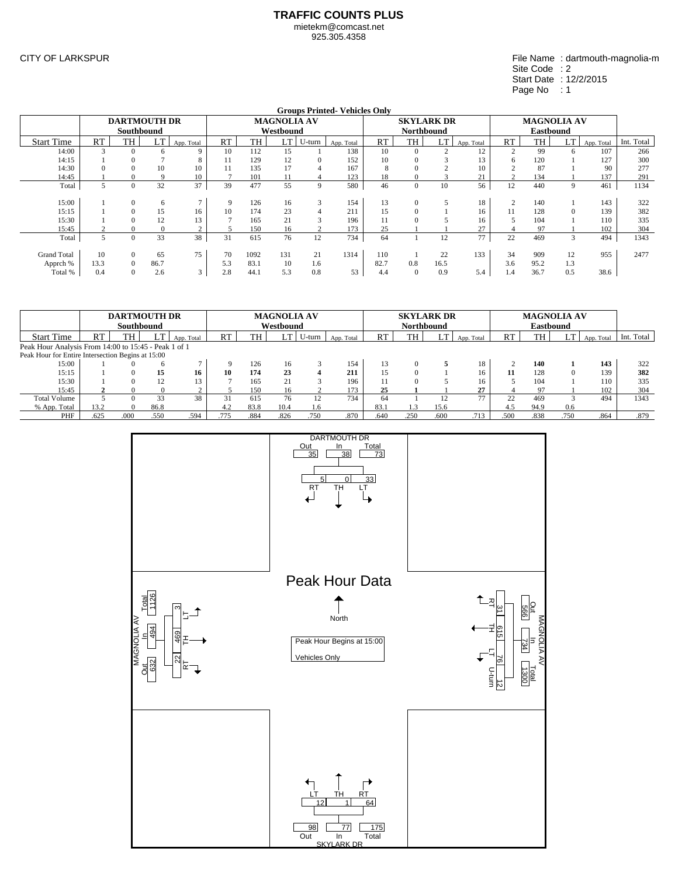925.305.4358

CITY OF LARKSPUR

File Name : dartmouth-magnolia-m Site Code : 2 Start Date : 12/2/2015 Page No : 1

|                    |           |                     |      |                    |     |      |                    |        | <b>Groups Printed-Vehicles Only</b> |      |                   |        |            |                |                    |     |            |            |
|--------------------|-----------|---------------------|------|--------------------|-----|------|--------------------|--------|-------------------------------------|------|-------------------|--------|------------|----------------|--------------------|-----|------------|------------|
|                    |           | <b>DARTMOUTH DR</b> |      |                    |     |      | <b>MAGNOLIA AV</b> |        |                                     |      | <b>SKYLARK DR</b> |        |            |                | <b>MAGNOLIA AV</b> |     |            |            |
|                    |           | Southbound          |      |                    |     |      | Westbound          |        |                                     |      | <b>Northbound</b> |        |            |                | <b>Eastbound</b>   |     |            |            |
| <b>Start Time</b>  | <b>RT</b> | TH                  | LT   | App. Total         | RT  | TH   | LT                 | U-turn | App. Total                          | RT   | <b>TH</b>         | LT     | App. Total | <b>RT</b>      | TH                 | LT  | App. Total | Int. Total |
| 14:00              |           |                     |      | 9                  | 10  | 112  | 15                 |        | 138                                 | 10   |                   |        | 12         | 2              | 99                 | 6   | 107        | 266        |
| 14:15              |           |                     |      | 8                  | 11  | 129  | 12                 |        | 152                                 | 10   |                   |        | 13         | 6              | 120                |     | 127        | 300        |
| 14:30              |           |                     | 10   | 10                 | 11  | 135  | 17                 |        | 167                                 | х    |                   |        | 10         |                | 87                 |     | 90         | 277        |
| 14:45              |           |                     |      | 10                 |     | 101  | 11                 |        | 123                                 | 18   |                   | $\sim$ | 21         | $\gamma$       | 134                |     | 137        | 291        |
| Total              |           | $\Omega$            | 32   | 37                 | 39  | 477  | 55                 | 9      | 580                                 | 46   | $\mathbf{0}$      | 10     | 56         | 12             | 440                | 9   | 461        | 1134       |
|                    |           |                     |      |                    |     |      |                    |        |                                     |      |                   |        |            |                |                    |     |            |            |
| 15:00              |           |                     | 6    |                    | 9   | 126  | 16                 | 3      | 154                                 | 13   | $\mathbf{0}$      | 5      | 18         | $\overline{2}$ | 140                |     | 143        | 322        |
| 15:15              |           |                     | 15   | 16                 | 10  | 174  | 23                 |        | 211                                 | 15   |                   |        | 16         | 11             | 128                | 0   | 139        | 382        |
| 15:30              |           |                     | 12   | 13                 |     | 165  | 21                 |        | 196                                 |      |                   |        | 16         | C.             | 104                |     | 110        | 335        |
| 15:45              |           |                     |      | $\sim$             | 5   | 150  | 16                 |        | 173                                 | 25   |                   |        | 27         | 4              | 97                 |     | 102        | 304        |
| Total              | 5         | $\Omega$            | 33   | 38                 | 31  | 615  | 76                 | 12     | 734                                 | 64   |                   | 12     | 77         | 22             | 469                | 3   | 494        | 1343       |
|                    |           |                     |      |                    |     |      |                    |        |                                     |      |                   |        |            |                |                    |     |            |            |
| <b>Grand Total</b> | 10        | $\Omega$            | 65   | 75                 | 70  | 1092 | 131                | 21     | 1314                                | 110  |                   | 22     | 133        | 34             | 909                | 12  | 955        | 2477       |
| Apprch %           | 13.3      |                     | 86.7 |                    | 5.3 | 83.1 | 10                 | 1.6    |                                     | 82.7 | 0.8               | 16.5   |            | 3.6            | 95.2               | 1.3 |            |            |
| Total %            | 0.4       |                     | 2.6  | $\sim$<br>$\Delta$ | 2.8 | 44.1 | 5.3                | 0.8    | 53                                  | 4.4  | $\mathbf{0}$      | 0.9    | 5.4        | 1.4            | 36.7               | 0.5 | 38.6       |            |

|                                                      |      | <b>DARTMOUTH DR</b><br>Southbound |              |            |      |      | <b>MAGNOLIA AV</b><br>Westbound |        |            |           | <b>SKYLARK DR</b><br><b>Northbound</b> |      |            |        | <b>MAGNOLIA AV</b><br><b>Eastbound</b> |      |            |            |
|------------------------------------------------------|------|-----------------------------------|--------------|------------|------|------|---------------------------------|--------|------------|-----------|----------------------------------------|------|------------|--------|----------------------------------------|------|------------|------------|
| <b>Start Time</b>                                    | RT   | TH                                | LT           | App. Total | RT   | TH   | LT                              | U-turn | App. Total | <b>RT</b> | TH                                     | LT   | App. Total | RT     | TH                                     | LT   | App. Total | Int. Total |
| Peak Hour Analysis From 14:00 to 15:45 - Peak 1 of 1 |      |                                   |              |            |      |      |                                 |        |            |           |                                        |      |            |        |                                        |      |            |            |
| Peak Hour for Entire Intersection Begins at 15:00    |      |                                   |              |            |      |      |                                 |        |            |           |                                        |      |            |        |                                        |      |            |            |
| 15:00                                                |      |                                   | <sub>6</sub> |            | 9    | 126  | 16                              |        | 154        | 13        | $\Omega$                               | 5    | 18         | $\sim$ | 140                                    |      | 143        | 322        |
| 15:15                                                |      |                                   | 15           | 16         | 10   | 174  | 23                              |        | 211        | 15        | $\Omega$                               |      | 16         | 11     | 128                                    |      | 139        | 382        |
| 15:30                                                |      |                                   | 12           | 13         |      | 165  | 21                              |        | 196        |           | $\Omega$                               |      | 16         |        | 104                                    |      | 110        | 335        |
| 15:45                                                |      |                                   |              |            |      | 150  | 16                              |        | 173        | 25        |                                        |      | 27         |        | 97                                     |      | 102        | 304        |
| <b>Total Volume</b>                                  |      |                                   | 33           | 38         | 31   | 615  | 76                              |        | 734        | 64        |                                        | 12   | 77         | 22     | 469                                    |      | 494        | 1343       |
| % App. Total                                         | 13.2 | $\Omega$                          | 86.8         |            | 4.2  | 83.8 | 10.4                            | 1.6    |            | 83.1      | 1.3                                    | 15.6 |            | 4.5    | 94.9                                   | 0.6  |            |            |
| PHF                                                  | .625 | .000                              | .550         | .594       | .775 | .884 | .826                            | .750   | .870       | .640      | .250                                   | .600 | .713       | .500   | .838                                   | .750 | .864       | .879       |

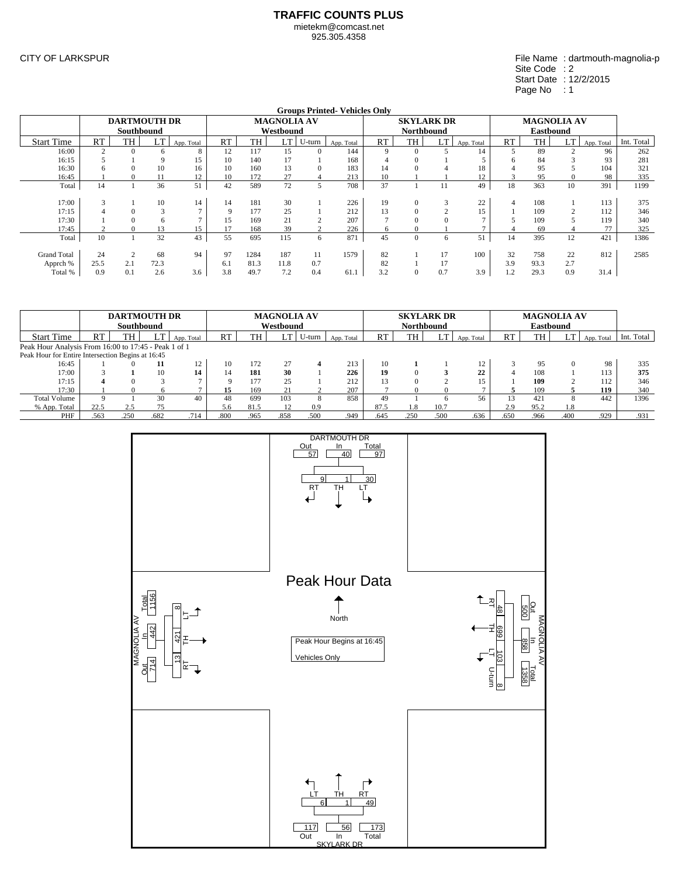925.305.4358

CITY OF LARKSPUR

File Name : dartmouth-magnolia-p Site Code : 2 Start Date : 12/2/2015 Page No : 1

|                    |        |                     |      |            |     |      |                    |        | <b>Groups Printed-Vehicles Only</b> |              |                   |          |            |     |                    |     |            |            |
|--------------------|--------|---------------------|------|------------|-----|------|--------------------|--------|-------------------------------------|--------------|-------------------|----------|------------|-----|--------------------|-----|------------|------------|
|                    |        | <b>DARTMOUTH DR</b> |      |            |     |      | <b>MAGNOLIA AV</b> |        |                                     |              | <b>SKYLARK DR</b> |          |            |     | <b>MAGNOLIA AV</b> |     |            |            |
|                    |        | Southbound          |      |            |     |      | Westbound          |        |                                     |              | <b>Northbound</b> |          |            |     | <b>Eastbound</b>   |     |            |            |
| <b>Start Time</b>  | RT     | TH                  | LT   | App. Total | RT  | TH   | LT                 | U-turn | App. Total                          | RT           | <b>TH</b>         | LT       | App. Total | RT  | TH                 | LT  | App. Total | Int. Total |
| 16:00              |        |                     | 6    | 8          | 12  | 117  | 15                 |        | 144                                 | 9            | $\Omega$          |          | 14         | 5   | 89                 |     | 96         | 262        |
| 16:15              |        |                     |      | 15         | 10  | 140  | 17                 |        | 168                                 |              |                   |          |            | h   | 84                 |     | 93         | 281        |
| 16:30              |        |                     | 10   | 16         | 10  | 160  | 13                 |        | 183                                 | 14           |                   |          | 18         |     | 95                 |     | 104        | 321        |
| 16:45              |        |                     |      | 12         | 10  | 172  | 27                 |        | 213                                 | 10           |                   |          | 12         | 3   | 95                 | 0   | 98         | 335        |
| Total              | 14     |                     | 36   | 51         | 42  | 589  | 72                 | 5      | 708                                 | 37           |                   | 11       | 49         | 18  | 363                | 10  | 391        | 1199       |
|                    |        |                     |      |            |     |      |                    |        |                                     |              |                   |          |            |     |                    |     |            |            |
| 17:00              | $\sim$ |                     | 10   | 14         | 14  | 181  | 30                 |        | 226                                 | 19           | $\mathbf{0}$      | 3        | 22         | 4   | 108                |     | 113        | 375        |
| 17:15              |        |                     |      |            | 9   | 177  | 25                 |        | 212                                 | 13           | $\Omega$          | $\sim$   | 15         |     | 109                |     | 112        | 346        |
| 17:30              |        |                     | 6    |            | 15  | 169  | 21                 |        | 207                                 |              | $\Omega$          | $\Omega$ |            |     | 109                |     | 119        | 340        |
| 17:45              |        |                     | 13   | 15         | 17  | 168  | 39                 |        | 226                                 | <sub>(</sub> | 0                 |          |            |     | 69                 |     | 77         | 325        |
| Total              | 10     |                     | 32   | 43         | 55  | 695  | 115                | 6      | 871                                 | 45           | $\mathbf{0}$      | 6        | 51         | 14  | 395                | 12  | 421        | 1386       |
|                    |        |                     |      |            |     |      |                    |        |                                     |              |                   |          |            |     |                    |     |            |            |
| <b>Grand Total</b> | 24     |                     | 68   | 94         | 97  | 1284 | 187                | 11     | 1579                                | 82           |                   | 17       | 100        | 32  | 758                | 22  | 812        | 2585       |
| Apprch %           | 25.5   | 2.1                 | 72.3 |            | 6.1 | 81.3 | 11.8               | 0.7    |                                     | 82           |                   | 17       |            | 3.9 | 93.3               | 2.7 |            |            |
| Total %            | 0.9    | 0.1                 | 2.6  | 3.6        | 3.8 | 49.7 | 7.2                | 0.4    | 61.1                                | 3.2          | $\mathbf{0}$      | 0.7      | 3.9        | 1.2 | 29.3               | 0.9 | 31.4       |            |

|                                                      |      | Southbound | <b>DARTMOUTH DR</b> |            |          |      | <b>MAGNOLIA AV</b><br>Westbound |        |            |           | <b>SKYLARK DR</b><br><b>Northbound</b> |        |            |      | <b>MAGNOLIA AV</b><br><b>Eastbound</b> |      |            |            |
|------------------------------------------------------|------|------------|---------------------|------------|----------|------|---------------------------------|--------|------------|-----------|----------------------------------------|--------|------------|------|----------------------------------------|------|------------|------------|
| <b>Start Time</b>                                    | RT   | TH         | LT                  | App. Total | RT       | TH   | LT                              | U-turn | App. Total | <b>RT</b> | TH                                     |        | App. Total | RT   | TH                                     | LT   | App. Total | Int. Total |
| Peak Hour Analysis From 16:00 to 17:45 - Peak 1 of 1 |      |            |                     |            |          |      |                                 |        |            |           |                                        |        |            |      |                                        |      |            |            |
| Peak Hour for Entire Intersection Begins at 16:45    |      |            |                     |            |          |      |                                 |        |            |           |                                        |        |            |      |                                        |      |            |            |
| 16:45                                                |      |            | 11                  | 12         | 10       | 172  | 27                              |        | 213        | 10        |                                        |        | 12         |      | 95                                     |      | 98         | 335        |
| 17:00                                                |      |            | 10                  | 14         | 14       | 181  | 30                              |        | 226        | 19        | $\Omega$                               |        | 22         |      | 108                                    |      | 113        | 375        |
| 17:15                                                |      |            |                     |            | $\Omega$ | 177  | 25                              |        | 212        | 13        | $\Omega$                               | $\sim$ | 15         |      | 109                                    |      | 112        | 346        |
| 17:30                                                |      |            |                     |            | 15       | 169  | 21                              |        | 207        |           |                                        | -0     |            |      | 109                                    |      | 119        | 340        |
| <b>Total Volume</b>                                  |      |            | 30                  | 40         | 48       | 699  | 103                             | 8      | 858        | 49        |                                        | 6      | 56         | 13   | 421                                    |      | 442        | 1396       |
| % App. Total                                         | 22.5 | 2.5        | 75                  |            | 5.6      | 81.5 |                                 | 0.9    |            | 87.5      | 1.8                                    | 10.7   |            | 2.9  | 95.2                                   | 1.8  |            |            |
| PHF                                                  | .563 | .250       | .682                | .714       | .800     | .965 | .858                            | .500   | .949       | .645      | .250                                   | .500   | .636       | .650 | .966                                   | .400 | .929       | .931       |